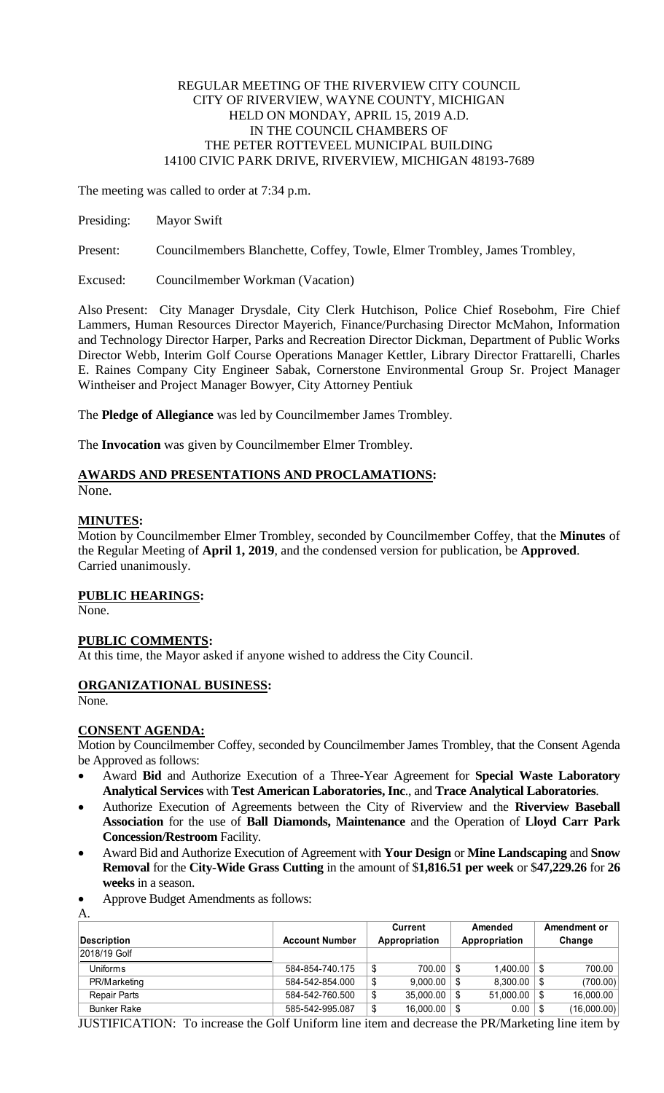## REGULAR MEETING OF THE RIVERVIEW CITY COUNCIL CITY OF RIVERVIEW, WAYNE COUNTY, MICHIGAN HELD ON MONDAY, APRIL 15, 2019 A.D. IN THE COUNCIL CHAMBERS OF THE PETER ROTTEVEEL MUNICIPAL BUILDING 14100 CIVIC PARK DRIVE, RIVERVIEW, MICHIGAN 48193-7689

The meeting was called to order at 7:34 p.m.

Presiding: Mayor Swift

Present: Councilmembers Blanchette, Coffey, Towle, Elmer Trombley, James Trombley,

Excused: Councilmember Workman (Vacation)

Also Present: City Manager Drysdale, City Clerk Hutchison, Police Chief Rosebohm, Fire Chief Lammers, Human Resources Director Mayerich, Finance/Purchasing Director McMahon, Information and Technology Director Harper, Parks and Recreation Director Dickman, Department of Public Works Director Webb, Interim Golf Course Operations Manager Kettler, Library Director Frattarelli, Charles E. Raines Company City Engineer Sabak, Cornerstone Environmental Group Sr. Project Manager Wintheiser and Project Manager Bowyer, City Attorney Pentiuk

The **Pledge of Allegiance** was led by Councilmember James Trombley.

The **Invocation** was given by Councilmember Elmer Trombley.

# **AWARDS AND PRESENTATIONS AND PROCLAMATIONS:**

None.

# **MINUTES:**

Motion by Councilmember Elmer Trombley, seconded by Councilmember Coffey, that the **Minutes** of the Regular Meeting of **April 1, 2019**, and the condensed version for publication, be **Approved**. Carried unanimously.

# **PUBLIC HEARINGS:**

None.

# **PUBLIC COMMENTS:**

At this time, the Mayor asked if anyone wished to address the City Council.

# **ORGANIZATIONAL BUSINESS:**

None.

A.

# **CONSENT AGENDA:**

Motion by Councilmember Coffey, seconded by Councilmember James Trombley, that the Consent Agenda be Approved as follows:

- Award **Bid** and Authorize Execution of a Three-Year Agreement for **Special Waste Laboratory Analytical Services** with **Test American Laboratories, Inc**., and **Trace Analytical Laboratories**.
- Authorize Execution of Agreements between the City of Riverview and the **Riverview Baseball Association** for the use of **Ball Diamonds, Maintenance** and the Operation of **Lloyd Carr Park Concession/Restroom** Facility.
- Award Bid and Authorize Execution of Agreement with **Your Design** or **Mine Landscaping** and **Snow Removal** for the **City-Wide Grass Cutting** in the amount of \$**1,816.51 per week** or \$**47,229.26** for **26 weeks** in a season.
- Approve Budget Amendments as follows:

|                    |                       | <b>Current</b> |                 | Amended |               | Amendment or |             |
|--------------------|-----------------------|----------------|-----------------|---------|---------------|--------------|-------------|
| Description        | <b>Account Number</b> |                | Appropriation   |         | Appropriation |              | Change      |
| 2018/19 Golf       |                       |                |                 |         |               |              |             |
| Uniforms           | 584-854-740.175       |                | $700.00$   \$   |         | 1.400.00      | \$           | 700.00      |
| PR/Marketing       | 584-542-854.000       | \$             | $9.000.00$   \$ |         | 8.300.00      | S            | (700.00)    |
| Repair Parts       | 584-542-760.500       | S              | 35,000.00       | l S     | 51,000.00     | S            | 16,000.00   |
| <b>Bunker Rake</b> | 585-542-995.087       | S              | 16,000.00       | l S     | 0.00          |              | (16,000.00) |

JUSTIFICATION: To increase the Golf Uniform line item and decrease the PR/Marketing line item by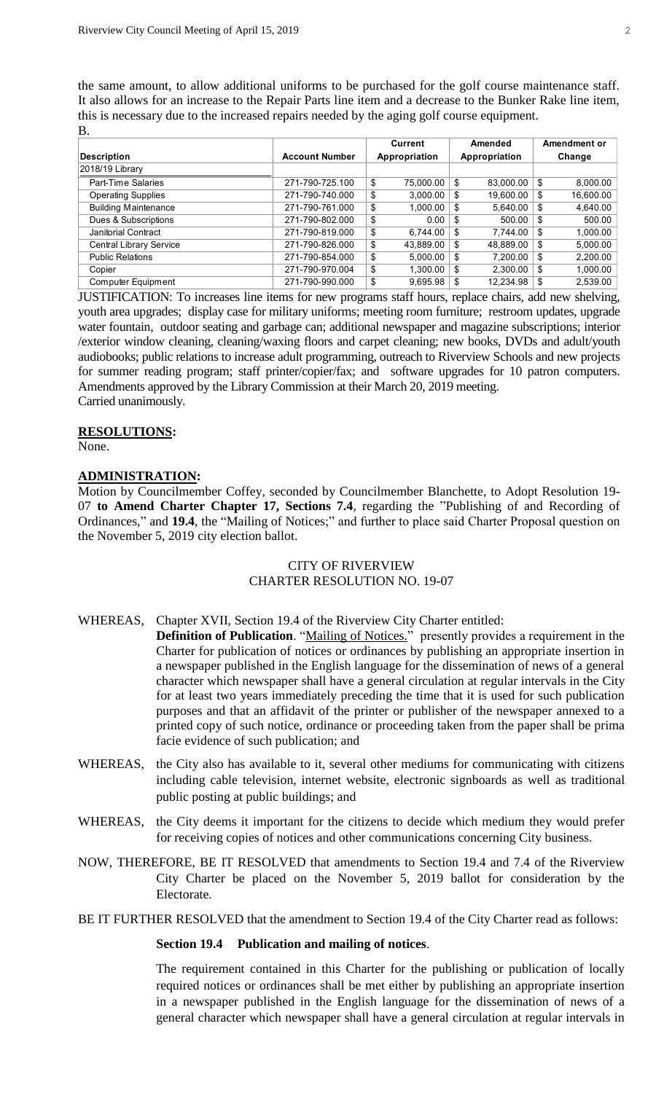the same amount, to allow additional uniforms to be purchased for the golf course maintenance staff. It also allows for an increase to the Repair Parts line item and a decrease to the Bunker Rake line item, this is necessary due to the increased repairs needed by the aging golf course equipment. B.

|                             |                       | Current       |           | Amended       |           | Amendment or |           |
|-----------------------------|-----------------------|---------------|-----------|---------------|-----------|--------------|-----------|
| <b>Description</b>          | <b>Account Number</b> | Appropriation |           | Appropriation |           | Change       |           |
| 2018/19 Library             |                       |               |           |               |           |              |           |
| Part-Time Salaries          | 271-790-725.100       | \$            | 75,000.00 | \$            | 83,000.00 | \$           | 8,000.00  |
| <b>Operating Supplies</b>   | 271-790-740.000       | \$            | 3.000.00  | \$            | 19,600.00 | \$           | 16,600.00 |
| <b>Building Maintenance</b> | 271-790-761.000       | \$            | 1.000.00  | \$            | 5,640.00  | \$           | 4,640.00  |
| Dues & Subscriptions        | 271-790-802.000       | \$            | 0.00      | - \$          | 500.00    | \$           | 500.00    |
| Janitorial Contract         | 271-790-819.000       | \$            | 6.744.00  | \$            | 7.744.00  | \$           | 1,000.00  |
| Central Library Service     | 271-790-826.000       | \$            | 43.889.00 | \$            | 48.889.00 | \$           | 5,000.00  |
| <b>Public Relations</b>     | 271-790-854.000       | \$            | 5.000.00  | \$            | 7,200.00  | \$           | 2,200.00  |
| Copier                      | 271-790-970.004       | \$            | 1.300.00  | \$            | 2.300.00  | \$           | 1,000.00  |
| Computer Equipment          | 271-790-990.000       | \$            | 9.695.98  | - \$          | 12.234.98 | \$           | 2,539.00  |

JUSTIFICATION: To increases line items for new programs staff hours, replace chairs, add new shelving, youth area upgrades; display case for military uniforms; meeting room furniture; restroom updates, upgrade water fountain, outdoor seating and garbage can; additional newspaper and magazine subscriptions; interior /exterior window cleaning, cleaning/waxing floors and carpet cleaning; new books, DVDs and adult/youth audiobooks; public relations to increase adult programming, outreach to Riverview Schools and new projects for summer reading program; staff printer/copier/fax; and software upgrades for 10 patron computers. Amendments approved by the Library Commission at their March 20, 2019 meeting. Carried unanimously.

#### **RESOLUTIONS:**

None.

#### **ADMINISTRATION:**

Motion by Councilmember Coffey, seconded by Councilmember Blanchette, to Adopt Resolution 19- 07 **to Amend Charter Chapter 17, Sections 7.4**, regarding the "Publishing of and Recording of Ordinances," and **19.4**, the "Mailing of Notices;" and further to place said Charter Proposal question on the November 5, 2019 city election ballot.

# CITY OF RIVERVIEW CHARTER RESOLUTION NO. 19-07

# WHEREAS, Chapter XVII, Section 19.4 of the Riverview City Charter entitled:

- **Definition of Publication**. "Mailing of Notices." presently provides a requirement in the Charter for publication of notices or ordinances by publishing an appropriate insertion in a newspaper published in the English language for the dissemination of news of a general character which newspaper shall have a general circulation at regular intervals in the City for at least two years immediately preceding the time that it is used for such publication purposes and that an affidavit of the printer or publisher of the newspaper annexed to a printed copy of such notice, ordinance or proceeding taken from the paper shall be prima facie evidence of such publication; and
- WHEREAS, the City also has available to it, several other mediums for communicating with citizens including cable television, internet website, electronic signboards as well as traditional public posting at public buildings; and
- WHEREAS, the City deems it important for the citizens to decide which medium they would prefer for receiving copies of notices and other communications concerning City business.
- NOW, THEREFORE, BE IT RESOLVED that amendments to Section 19.4 and 7.4 of the Riverview City Charter be placed on the November 5, 2019 ballot for consideration by the Electorate.

BE IT FURTHER RESOLVED that the amendment to Section 19.4 of the City Charter read as follows:

#### **Section 19.4 Publication and mailing of notices**.

The requirement contained in this Charter for the publishing or publication of locally required notices or ordinances shall be met either by publishing an appropriate insertion in a newspaper published in the English language for the dissemination of news of a general character which newspaper shall have a general circulation at regular intervals in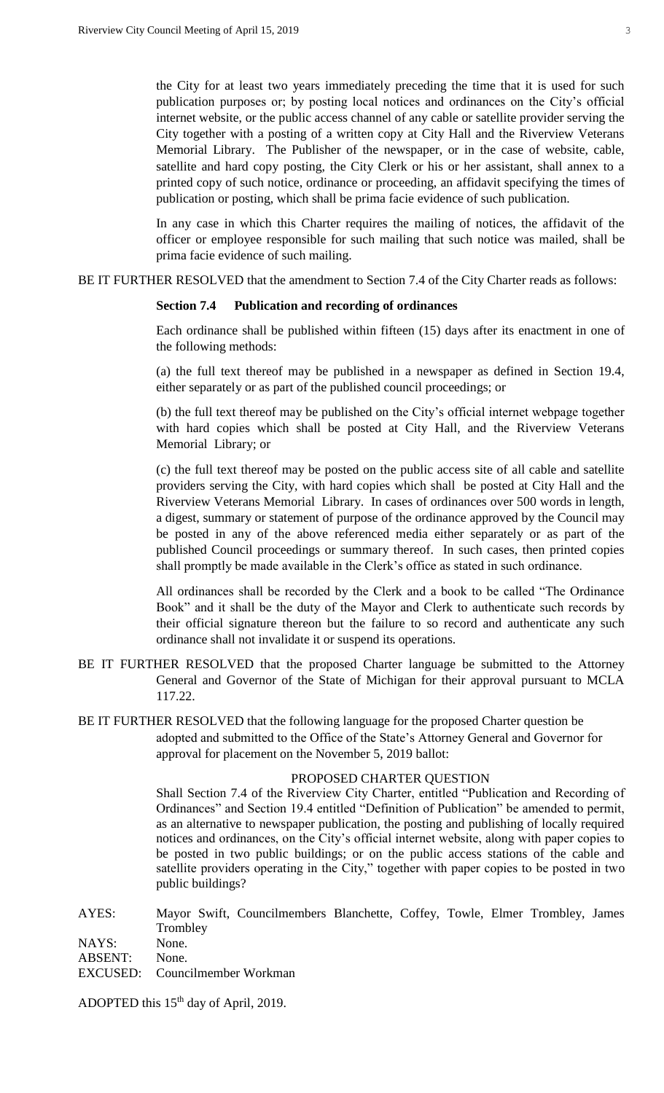the City for at least two years immediately preceding the time that it is used for such publication purposes or; by posting local notices and ordinances on the City's official internet website, or the public access channel of any cable or satellite provider serving the City together with a posting of a written copy at City Hall and the Riverview Veterans Memorial Library. The Publisher of the newspaper, or in the case of website, cable, satellite and hard copy posting, the City Clerk or his or her assistant, shall annex to a printed copy of such notice, ordinance or proceeding, an affidavit specifying the times of publication or posting, which shall be prima facie evidence of such publication.

In any case in which this Charter requires the mailing of notices, the affidavit of the officer or employee responsible for such mailing that such notice was mailed, shall be prima facie evidence of such mailing.

BE IT FURTHER RESOLVED that the amendment to Section 7.4 of the City Charter reads as follows:

#### **Section 7.4 Publication and recording of ordinances**

Each ordinance shall be published within fifteen (15) days after its enactment in one of the following methods:

(a) the full text thereof may be published in a newspaper as defined in Section 19.4, either separately or as part of the published council proceedings; or

(b) the full text thereof may be published on the City's official internet webpage together with hard copies which shall be posted at City Hall, and the Riverview Veterans Memorial Library; or

(c) the full text thereof may be posted on the public access site of all cable and satellite providers serving the City, with hard copies which shall be posted at City Hall and the Riverview Veterans Memorial Library. In cases of ordinances over 500 words in length, a digest, summary or statement of purpose of the ordinance approved by the Council may be posted in any of the above referenced media either separately or as part of the published Council proceedings or summary thereof. In such cases, then printed copies shall promptly be made available in the Clerk's office as stated in such ordinance.

All ordinances shall be recorded by the Clerk and a book to be called "The Ordinance Book" and it shall be the duty of the Mayor and Clerk to authenticate such records by their official signature thereon but the failure to so record and authenticate any such ordinance shall not invalidate it or suspend its operations.

- BE IT FURTHER RESOLVED that the proposed Charter language be submitted to the Attorney General and Governor of the State of Michigan for their approval pursuant to MCLA 117.22.
- BE IT FURTHER RESOLVED that the following language for the proposed Charter question be adopted and submitted to the Office of the State's Attorney General and Governor for approval for placement on the November 5, 2019 ballot:

## PROPOSED CHARTER QUESTION

Shall Section 7.4 of the Riverview City Charter, entitled "Publication and Recording of Ordinances" and Section 19.4 entitled "Definition of Publication" be amended to permit, as an alternative to newspaper publication, the posting and publishing of locally required notices and ordinances, on the City's official internet website, along with paper copies to be posted in two public buildings; or on the public access stations of the cable and satellite providers operating in the City," together with paper copies to be posted in two public buildings?

AYES: Mayor Swift, Councilmembers Blanchette, Coffey, Towle, Elmer Trombley, James **Trombley** 

NAYS: None.

ABSENT: None.

EXCUSED: Councilmember Workman

ADOPTED this 15<sup>th</sup> day of April, 2019.